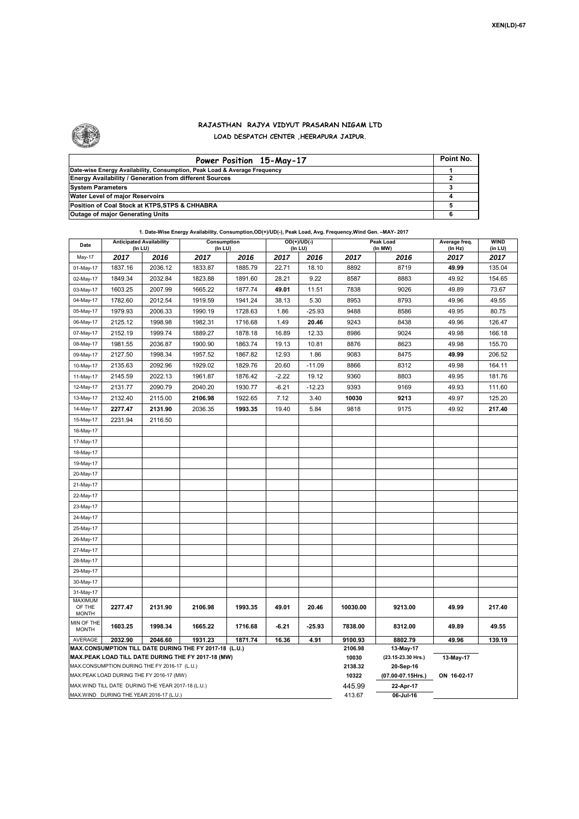٦



## **RAJASTHAN RAJYA VIDYUT PRASARAN NIGAM LTD**

**LOAD DESPATCH CENTER ,HEERAPURA JAIPUR.**

| Power Position 15-May-17                                                  | Point No. |
|---------------------------------------------------------------------------|-----------|
| Date-wise Energy Availability, Consumption, Peak Load & Average Frequency |           |
| <b>Energy Availability / Generation from different Sources</b>            |           |
| <b>System Parameters</b>                                                  |           |
| Water Level of major Reservoirs                                           |           |
| Position of Coal Stock at KTPS, STPS & CHHABRA                            |           |
| <b>Outage of major Generating Units</b>                                   |           |

|  | 1. Date-Wise Energy Availability, Consumption, OD(+)/UD(-), Peak Load, Avg. Frequency, Wind Gen. -MAY- 2017 |
|--|-------------------------------------------------------------------------------------------------------------|
|--|-------------------------------------------------------------------------------------------------------------|

| Date                                    | <b>Anticipated Availability</b><br>(In LU)        |         | Consumption<br>(In LU)                                                                                       |         |         | $OD(+)/UD(-)$<br>(In LU) |                  | Peak Load<br>(In MW)            |                 | <b>WIND</b><br>(in LU) |  |  |
|-----------------------------------------|---------------------------------------------------|---------|--------------------------------------------------------------------------------------------------------------|---------|---------|--------------------------|------------------|---------------------------------|-----------------|------------------------|--|--|
| May-17                                  | 2017                                              | 2016    | 2017                                                                                                         | 2016    | 2017    | 2016                     | 2017             | 2016                            | (In Hz)<br>2017 | 2017                   |  |  |
| 01-May-17                               | 1837.16                                           | 2036.12 | 1833.87                                                                                                      | 1885.79 | 22.71   | 18.10                    | 8892             | 8719                            | 49.99           | 135.04                 |  |  |
| 02-May-17                               | 1849.34                                           | 2032.84 | 1823.88                                                                                                      | 1891.60 | 28.21   | 9.22                     | 8587             | 8883                            | 49.92           | 154.65                 |  |  |
| 03-May-17                               | 1603.25                                           | 2007.99 | 1665.22                                                                                                      | 1877.74 | 49.01   | 11.51                    | 7838             | 9026                            | 49.89           | 73.67                  |  |  |
| 04-May-17                               | 1782.60                                           | 2012.54 | 1919.59                                                                                                      | 1941.24 | 38.13   | 5.30                     | 8953             | 8793                            | 49.96           | 49.55                  |  |  |
| 05-May-17                               | 1979.93                                           | 2006.33 | 1990.19                                                                                                      | 1728.63 | 1.86    | $-25.93$                 | 9488             | 8586                            | 49.95           | 80.75                  |  |  |
| 06-May-17                               | 2125.12                                           | 1998.98 | 1982.31                                                                                                      | 1716.68 | 1.49    | 20.46                    | 9243             | 8438                            | 49.96           | 126.47                 |  |  |
| 07-May-17                               | 2152.19                                           | 1999.74 | 1889.27                                                                                                      | 1878.18 | 16.89   | 12.33                    | 8986             | 9024                            | 49.98           | 166.18                 |  |  |
| 08-May-17                               | 1981.55                                           | 2036.87 | 1900.90                                                                                                      | 1863.74 | 19.13   | 10.81                    | 8876             | 8623                            | 49.98           | 155.70                 |  |  |
| 09-May-17                               | 2127.50                                           | 1998.34 | 1957.52                                                                                                      | 1867.82 | 12.93   | 1.86                     | 9083             | 8475                            | 49.99           | 206.52                 |  |  |
| 10-May-17                               | 2135.63                                           | 2092.96 | 1929.02                                                                                                      | 1829.76 | 20.60   | $-11.09$                 | 8866             | 8312                            | 49.98           | 164.11                 |  |  |
| 11-May-17                               | 2145.59                                           | 2022.13 | 1961.87                                                                                                      | 1876.42 | $-2.22$ | 19.12                    | 9360             | 8803                            | 49.95           | 181.76                 |  |  |
| 12-May-17                               | 2131.77                                           | 2090.79 | 2040.20                                                                                                      | 1930.77 | $-6.21$ | $-12.23$                 | 9393             | 9169                            | 49.93           | 111.60                 |  |  |
| 13-May-17                               | 2132.40                                           | 2115.00 | 2106.98                                                                                                      | 1922.65 | 7.12    | 3.40                     | 10030            | 9213                            | 49.97           | 125.20                 |  |  |
| 14-May-17                               | 2277.47                                           | 2131.90 | 2036.35                                                                                                      | 1993.35 | 19.40   | 5.84                     | 9818             | 9175                            | 49.92           | 217.40                 |  |  |
| 15-May-17                               | 2231.94                                           | 2116.50 |                                                                                                              |         |         |                          |                  |                                 |                 |                        |  |  |
| 16-May-17                               |                                                   |         |                                                                                                              |         |         |                          |                  |                                 |                 |                        |  |  |
| 17-May-17                               |                                                   |         |                                                                                                              |         |         |                          |                  |                                 |                 |                        |  |  |
| 18-May-17                               |                                                   |         |                                                                                                              |         |         |                          |                  |                                 |                 |                        |  |  |
| 19-May-17                               |                                                   |         |                                                                                                              |         |         |                          |                  |                                 |                 |                        |  |  |
| 20-May-17                               |                                                   |         |                                                                                                              |         |         |                          |                  |                                 |                 |                        |  |  |
| 21-May-17                               |                                                   |         |                                                                                                              |         |         |                          |                  |                                 |                 |                        |  |  |
| 22-May-17                               |                                                   |         |                                                                                                              |         |         |                          |                  |                                 |                 |                        |  |  |
| 23-May-17                               |                                                   |         |                                                                                                              |         |         |                          |                  |                                 |                 |                        |  |  |
| 24-May-17                               |                                                   |         |                                                                                                              |         |         |                          |                  |                                 |                 |                        |  |  |
| 25-May-17                               |                                                   |         |                                                                                                              |         |         |                          |                  |                                 |                 |                        |  |  |
| 26-May-17                               |                                                   |         |                                                                                                              |         |         |                          |                  |                                 |                 |                        |  |  |
| 27-May-17                               |                                                   |         |                                                                                                              |         |         |                          |                  |                                 |                 |                        |  |  |
| 28-May-17                               |                                                   |         |                                                                                                              |         |         |                          |                  |                                 |                 |                        |  |  |
| 29-May-17                               |                                                   |         |                                                                                                              |         |         |                          |                  |                                 |                 |                        |  |  |
| 30-May-17                               |                                                   |         |                                                                                                              |         |         |                          |                  |                                 |                 |                        |  |  |
| 31-May-17                               |                                                   |         |                                                                                                              |         |         |                          |                  |                                 |                 |                        |  |  |
| MAXIMUM<br>OF THE<br><b>MONTH</b>       | 2277.47                                           | 2131.90 | 2106.98                                                                                                      | 1993.35 | 49.01   | 20.46                    | 10030.00         | 9213.00                         | 49.99           | 217.40                 |  |  |
| MIN OF THE                              |                                                   |         |                                                                                                              |         |         |                          |                  |                                 |                 |                        |  |  |
| <b>MONTH</b>                            | 1603.25                                           | 1998.34 | 1665.22                                                                                                      | 1716.68 | $-6.21$ | $-25.93$                 | 7838.00          | 8312.00                         | 49.89           | 49.55                  |  |  |
| AVERAGE                                 | 2032.90                                           | 2046.60 | 1931.23                                                                                                      | 1871.74 | 16.36   | 4.91                     | 9100.93          | 8802.79                         | 49.96           | 139.19                 |  |  |
|                                         |                                                   |         | MAX.CONSUMPTION TILL DATE DURING THE FY 2017-18 (L.U.)<br>MAX.PEAK LOAD TILL DATE DURING THE FY 2017-18 (MW) |         |         |                          | 2106.98<br>10030 | 13-May-17<br>(23.15-23.30 Hrs.) | 13-May-17       |                        |  |  |
|                                         | MAX.CONSUMPTION DURING THE FY 2016-17 (L.U.)      |         |                                                                                                              |         |         |                          | 2138.32          | 20-Sep-16                       |                 |                        |  |  |
|                                         | MAX.PEAK LOAD DURING THE FY 2016-17 (MW)          |         |                                                                                                              |         |         |                          | 10322            | (07.00-07.15Hrs.)               | ON 16-02-17     |                        |  |  |
|                                         | MAX.WIND TILL DATE DURING THE YEAR 2017-18 (L.U.) |         |                                                                                                              |         |         |                          | 445.99           | 22-Apr-17                       |                 |                        |  |  |
| MAX.WIND DURING THE YEAR 2016-17 (L.U.) |                                                   |         |                                                                                                              |         |         |                          | 413.67           | 06-Jul-16                       |                 |                        |  |  |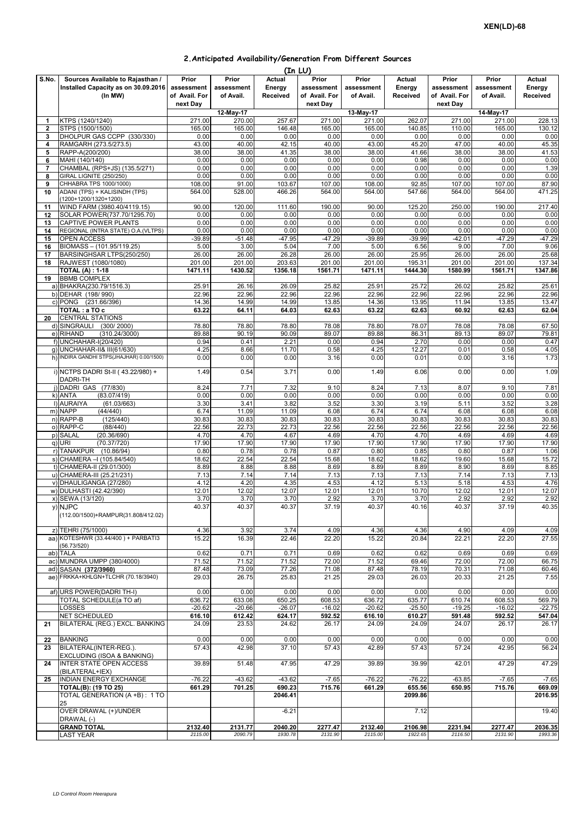| 2. Anticipated Availability/Generation From Different Sources |  |
|---------------------------------------------------------------|--|
|---------------------------------------------------------------|--|

|                         |                                           |                 |                 |          | (In LU)         |                 |                 |                 |                 |          |
|-------------------------|-------------------------------------------|-----------------|-----------------|----------|-----------------|-----------------|-----------------|-----------------|-----------------|----------|
| S.No.                   | Sources Available to Rajasthan /          | Prior           | Prior           | Actual   | Prior           | Prior           | Actual          | Prior           | Prior           | Actual   |
|                         | Installed Capacity as on 30.09.2016       | assessment      | assessment      | Energy   | assessment      | assessment      | Energy          | assessment      | assessment      | Energy   |
|                         | (In MW)                                   | of Avail. For   | of Avail.       | Received | of Avail. For   | of Avail.       | Received        | of Avail. For   | of Avail.       | Received |
|                         |                                           |                 |                 |          |                 |                 |                 |                 |                 |          |
|                         |                                           | next Day        |                 |          | next Day        |                 |                 | next Day        |                 |          |
|                         |                                           |                 | 12-May-17       |          |                 | 13-May-17       |                 |                 | 14-May-17       |          |
| 1                       | KTPS (1240/1240)                          | 271.00          | 270.00          | 257.67   | 271.00          | 271.00          | 262.07          | 271.00          | 271.00          | 228.13   |
| $\overline{\mathbf{2}}$ | STPS (1500/1500)                          | 165.00          | 165.00          | 146.48   | 165.00          | 165.00          | 140.85          | 110.00          | 165.00          | 130.12   |
| 3                       | DHOLPUR GAS CCPP (330/330)                | 0.00            | 0.00            | 0.00     | 0.00            | 0.00            | 0.00            | 0.00            | 0.00            | 0.00     |
| 4                       | RAMGARH (273.5/273.5)                     | 43.00           | 40.00           | 42.15    | 40.00           | 43.00           | 45.20           | 47.00           | 40.00           | 45.35    |
| 5                       | RAPP-A(200/200)                           | 38.00           | 38.00           | 41.35    | 38.00           | 38.00           | 41.66           | 38.00           | 38.00           | 41.53    |
| 6                       | MAHI (140/140)                            | 0.00            | 0.00            | 0.00     | 0.00            | 0.00            | 0.98            | 0.00            | 0.00            | 0.00     |
| $\overline{7}$          | CHAMBAL (RPS+JS) (135.5/271)              | 0.00            | 0.00            | 0.00     | 0.00            | 0.00            | 0.00            | 0.00            | 0.00            | 1.39     |
|                         | GIRAL LIGNITE (250/250)                   |                 |                 |          |                 |                 |                 |                 |                 |          |
| 8                       |                                           | 0.00            | 0.00            | 0.00     | 0.00            | 0.00            | 0.00            | 0.00            | 0.00            | 0.00     |
| 9                       | CHHABRA TPS 1000/1000)                    | 108.00          | 91.00           | 103.67   | 107.00          | 108.00          | 92.85           | 107.00          | 107.00          | 87.90    |
| 10                      | ADANI (TPS) + KALISINDH (TPS)             | 564.00          | 528.00          | 466.26   | 564.00          | 564.00          | 547.66          | 564.00          | 564.00          | 471.25   |
|                         | (1200+1200/1320+1200)                     |                 |                 |          |                 |                 |                 |                 |                 |          |
| 11                      | WIND FARM (3980.40/4119.15)               | 90.00           | 120.00          | 111.60   | 190.00          | 90.00           | 125.20          | 250.00          | 190.00          | 217.40   |
| 12                      | SOLAR POWER(737.70/1295.70)               | 0.00            | 0.00            | 0.00     | 0.00            | 0.00            | 0.00            | 0.00            | 0.00            | 0.00     |
| 13                      | CAPTIVE POWER PLANTS                      | 0.00            | 0.00            | 0.00     | 0.00            | 0.00            | 0.00            | 0.00            | 0.00            | 0.00     |
| 14                      | REGIONAL (INTRA STATE) O.A.(VLTPS)        | 0.00            | 0.00            | 0.00     | 0.00            | 0.00            | 0.00            | 0.00            | 0.00            | 0.00     |
| 15                      | <b>OPEN ACCESS</b>                        | $-39.89$        | $-51.48$        | $-47.95$ | $-47.29$        | $-39.89$        | $-39.99$        | $-42.01$        | $-47.29$        | $-47.29$ |
| 16                      | BIOMASS - (101.95/119.25)                 | 5.00            | 3.00            | 5.04     | 7.00            | 5.00            | 6.56            | 9.00            | 7.00            | 9.06     |
|                         |                                           |                 |                 |          |                 |                 |                 |                 |                 | 25.68    |
| 17                      | BARSINGHSAR LTPS(250/250)                 | 26.00<br>201.00 | 26.00<br>201.00 | 26.28    | 26.00<br>201.00 | 26.00<br>201.00 | 25.95<br>195.31 | 26.00<br>201.00 | 26.00<br>201.00 |          |
| 18                      | RAJWEST (1080/1080)                       |                 |                 | 203.63   |                 |                 |                 |                 |                 | 137.34   |
|                         | <b>TOTAL (A): 1-18</b>                    | 1471.11         | 1430.52         | 1356.18  | 1561.71         | 1471.11         | 1444.30         | 1580.99         | 1561.71         | 1347.86  |
| 19                      | <b>BBMB COMPLEX</b>                       |                 |                 |          |                 |                 |                 |                 |                 |          |
|                         | a) BHAKRA(230.79/1516.3)                  | 25.91           | 26.16           | 26.09    | 25.82           | 25.91           | 25.72           | 26.02           | 25.82           | 25.61    |
|                         | b) DEHAR (198/990)                        | 22.96           | 22.96           | 22.96    | 22.96           | 22.96           | 22.96           | 22.96           | 22.96           | 22.96    |
|                         | c) PONG (231.66/396)                      | 14.36           | 14.99           | 14.99    | 13.85           | 14.36           | 13.95           | 11.94           | 13.85           | 13.47    |
|                         | TOTAL : a TO c                            | 63.22           | 64.11           | 64.03    | 62.63           | 63.22           | 62.63           | 60.92           | 62.63           | 62.04    |
| 20                      | <b>CENTRAL STATIONS</b>                   |                 |                 |          |                 |                 |                 |                 |                 |          |
|                         | d) SINGRAULI (300/2000)                   | 78.80           | 78.80           | 78.80    | 78.08           | 78.80           | 78.07           | 78.08           | 78.08           | 67.50    |
|                         | e) RIHAND<br>(310.24/3000)                | 89.88           | 90.19           | 90.09    | 89.07           | 89.88           | 86.31           | 89.13           | 89.07           | 79.81    |
|                         |                                           | 0.94            |                 |          | 0.00            |                 |                 |                 |                 |          |
|                         | f) UNCHAHAR-I(20/420)                     |                 | 0.41            | 2.21     |                 | 0.94            | 2.70            | 0.00            | 0.00            | 0.47     |
|                         | g) UNCHAHAR-II& III(61/630)               | 4.25            | 8.66            | 11.70    | 0.58            | 4.25            | 12.27           | 0.01            | 0.58            | 4.05     |
|                         | h) INDIRA GANDHI STPS(JHAJHAR) 0.00/1500) | 0.00            | 0.00            | 0.00     | 3.16            | 0.00            | 0.01            | 0.00            | 3.16            | 1.73     |
|                         |                                           |                 |                 |          |                 |                 |                 |                 |                 |          |
|                         | i) NCTPS DADRI St-II (43.22/980) +        | 1.49            | 0.54            | 3.71     | 0.00            | 1.49            | 6.06            | 0.00            | 0.00            | 1.09     |
|                         | DADRI-TH                                  |                 |                 |          |                 |                 |                 |                 |                 |          |
|                         | () DADRI GAS (77/830)                     | 8.24            | 7.71            | 7.32     | 9.10            | 8.24            | 7.13            | 8.07            | 9.10            | 7.81     |
|                         | k) ANTA<br>(83.07/419)                    | 0.00            | 0.00            | 0.00     | 0.00            | 0.00            | 0.00            | 0.00            | 0.00            | 0.00     |
|                         | I) AURAIYA<br>(61.03/663)                 | 3.30            | 3.41            | 3.82     | 3.52            | 3.30            | 3.19            | 5.11            | 3.52            | 3.28     |
|                         | m) NAPP<br>(44/440)                       | 6.74            | 11.09           | 11.09    | 6.08            | 6.74            | 6.74            | 6.08            | 6.08            | 6.08     |
|                         | n) RAPP-B<br>(125/440)                    | 30.83           | 30.83           | 30.83    | 30.83           | 30.83           | 30.83           | 30.83           | 30.83           | 30.83    |
|                         | o) RAPP-C<br>(88/440)                     | 22.56           | 22.73           | 22.73    | 22.56           | 22.56           | 22.56           | 22.56           | 22.56           | 22.56    |
|                         |                                           |                 |                 |          |                 |                 |                 |                 |                 |          |
|                         | p) SALAL<br>(20.36/690)                   | 4.70            | 4.70            | 4.67     | 4.69            | 4.70            | 4.70            | 4.69            | 4.69            | 4.69     |
|                         | q) URI<br>(70.37/720)                     | 17.90           | 17.90           | 17.90    | 17.90           | 17.90           | 17.90           | 17.90           | 17.90           | 17.90    |
|                         | r) TANAKPUR (10.86/94)                    | 0.80            | 0.78            | 0.78     | 0.87            | 0.80            | 0.85            | 0.80            | 0.87            | 1.06     |
|                         | s) CHAMERA - (105.84/540)                 | 18.62           | 22.54           | 22.54    | 15.68           | 18.62           | 18.62           | 19.60           | 15.68           | 15.72    |
|                         | t) CHAMERA-II (29.01/300)                 | 8.89            | 8.88            | 8.88     | 8.69            | 8.89            | 8.89            | 8.90            | 8.69            | 8.85     |
|                         | u) CHAMERA-III (25.21/231)                | 7.13            | 7.14            | 7.14     | 7.13            | 7.13            | 7.13            | 7.14            | 7.13            | 7.13     |
|                         | v) DHAULIGANGA (27/280)                   | 4.12            | 4.20            | 4.35     | 4.53            | 4.12            | 5.13            | 5.18            | 4.53            | 4.76     |
|                         | w) DULHASTI (42.42/390)                   | 12.01           | 12.02           | 12.07    | 12.01           | 12.01           | 10.70           | 12.02           | 12.01           | 12.07    |
|                         |                                           | 3.70            | 3.70            | 3.70     | 2.92            | 3.70            | 3.70            | 2.92            | 2.92            |          |
|                         | x) SEWA (13/120)                          |                 |                 |          |                 |                 |                 |                 |                 | 2.92     |
|                         | y) NJPC                                   | 40.37           | 40.37           | 40.37    | 37.19           | 40.37           | 40.16           | 40.37           | 37.19           | 40.35    |
|                         | (112.00/1500)+RAMPUR(31.808/412.02)       |                 |                 |          |                 |                 |                 |                 |                 |          |
|                         |                                           |                 |                 |          |                 |                 |                 |                 |                 |          |
|                         | z) TEHRI (75/1000)                        | 4.36            | 3.92            | 3.74     | 4.09            | 4.36            | 4.36            | 4.90            | 4.09            | 4.09     |
|                         | aa) KOTESHWR (33.44/400) + PARBATI3       | 15.22           | 16.39           | 22.46    | 22.20           | 15.22           | 20.84           | 22.21           | 22.20           | 27.55    |
|                         | (56.73/520)                               |                 |                 |          |                 |                 |                 |                 |                 |          |
|                         | ab) TALA                                  | 0.62            | 0.71            | 0.71     | 0.69            | 0.62            | 0.62            | 0.69            | 0.69            | 0.69     |
|                         | ac) MUNDRA UMPP (380/4000)                | 71.52           | 71.52           | 71.52    | 72.00           | 71.52           | 69.46           | 72.00           | 72.00           | 66.75    |
|                         | ad) SASAN (372/3960)                      | 87.48           | 73.09           | 77.26    | 71.08           | 87.48           | 78.19           | 70.31           | 71.08           | 60.46    |
|                         | ae) FRKKA+KHLGN+TLCHR (70.18/3940)        | 29.03           | 26.75           | 25.83    | 21.25           | 29.03           | 26.03           | 20.33           | 21.25           | 7.55     |
|                         |                                           |                 |                 |          |                 |                 |                 |                 |                 |          |
|                         | af) URS POWER(DADRI TH-I)                 | 0.00            | 0.00            | 0.00     | 0.00            | 0.00            | 0.00            | 0.00            | 0.00            | 0.00     |
|                         | TOTAL SCHEDULE(a TO af)                   | 636.72          | 633.08          | 650.25   | 608.53          | 636.72          | 635.77          | 610.74          | 608.53          | 569.79   |
|                         |                                           |                 |                 |          |                 |                 |                 |                 |                 |          |
|                         | LOSSES                                    | $-20.62$        | $-20.66$        | $-26.07$ | $-16.02$        | $-20.62$        | $-25.50$        | $-19.25$        | $-16.02$        | $-22.75$ |
|                         | NET SCHEDULED                             | 616.10          | 612.42          | 624.17   | 592.52          | 616.10          | 610.27          | 591.48          | 592.52          | 547.04   |
| 21                      | BILATERAL (REG.) EXCL. BANKING            | 24.09           | 23.53           | 24.62    | 26.17           | 24.09           | 24.09           | 24.07           | 26.17           | 26.17    |
|                         |                                           |                 |                 |          |                 |                 |                 |                 |                 |          |
| 22                      | <b>BANKING</b>                            | 0.00            | 0.00            | 0.00     | 0.00            | 0.00            | 0.00            | 0.00            | 0.00            | 0.00     |
| 23                      | BILATERAL(INTER-REG.).                    | 57.43           | 42.98           | 37.10    | 57.43           | 42.89           | 57.43           | 57.24           | 42.95           | 56.24    |
|                         | EXCLUDING (ISOA & BANKING)                |                 |                 |          |                 |                 |                 |                 |                 |          |
| 24                      | <b>INTER STATE OPEN ACCESS</b>            | 39.89           | 51.48           | 47.95    | 47.29           | 39.89           | 39.99           | 42.01           | 47.29           | 47.29    |
|                         | (BILATERAL+IEX)                           |                 |                 |          |                 |                 |                 |                 |                 |          |
| 25                      | <b>INDIAN ENERGY EXCHANGE</b>             | $-76.22$        | $-43.62$        | $-43.62$ | $-7.65$         | $-76.22$        | $-76.22$        | $-63.85$        | $-7.65$         | $-7.65$  |
|                         | <b>TOTAL(B): (19 TO 25)</b>               | 661.29          | 701.25          | 690.23   | 715.76          | 661.29          | 655.56          | 650.95          | 715.76          | 669.09   |
|                         | TOTAL GENERATION (A +B): 1 TO             |                 |                 | 2046.41  |                 |                 | 2099.86         |                 |                 | 2016.95  |
|                         |                                           |                 |                 |          |                 |                 |                 |                 |                 |          |
|                         | 25                                        |                 |                 |          |                 |                 |                 |                 |                 |          |
|                         | OVER DRAWAL (+)/UNDER                     |                 |                 | $-6.21$  |                 |                 | 7.12            |                 |                 | 19.40    |
|                         | DRAWAL (-)                                |                 |                 |          |                 |                 |                 |                 |                 |          |
|                         | <b>GRAND TOTAL</b>                        | 2132.40         | 2131.77         | 2040.20  | 2277.47         | 2132.40         | 2106.98         | 2231.94         | 2277.47         | 2036.35  |
|                         | <b>LAST YEAR</b>                          | 2115.00         | 2090.79         | 1930.78  | 2131.90         | 2115.00         | 1922.65         | 2116.50         | 2131.90         | 1993.36  |